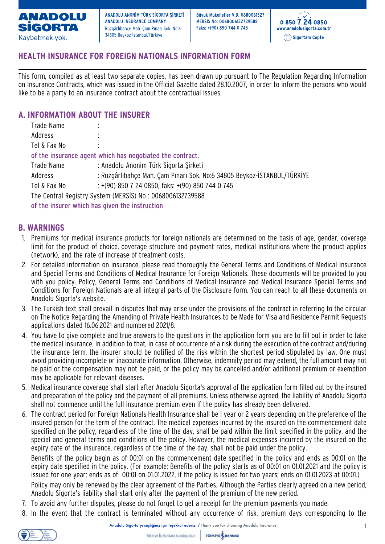

Büvük Mükellefler V.D. 0680061327 MERSIS No: 0068006132739588 Faks: +(90) 850 744 0 745



# **HEALTH INSURANCE FOR FOREIGN NATIONALS INFORMATION FORM**

This form, compiled as at least two separate copies, has been drawn up pursuant to The Regulation Regarding Information on Insurance Contracts, which was issued in the Official Gazette dated 28.10.2007, in order to inform the persons who would like to be a party to an insurance contract about the contractual issues.

### **A. INFORMATION ABOUT THE INSURER**

| Trade Name                                                | $\bullet$                                                               |  |  |
|-----------------------------------------------------------|-------------------------------------------------------------------------|--|--|
| Address                                                   |                                                                         |  |  |
| Tel & Fax No                                              | $\bullet$                                                               |  |  |
| of the insurance agent which has negotiated the contract. |                                                                         |  |  |
| Trade Name                                                | : Anadolu Anonim Türk Sigorta Şirketi                                   |  |  |
| Address                                                   | : Rüzgârlıbahçe Mah. Çam Pınarı Sok. No:6 34805 Beykoz-İSTANBUL/TÜRKİYE |  |  |
| Tel & Fax No                                              | $: +(90)$ 850 7 24 0850, faks: $+(90)$ 850 744 0 745                    |  |  |
| The Central Registry System (MERSIS) No: 0068006132739588 |                                                                         |  |  |
| of the insurer which has given the instruction            |                                                                         |  |  |

#### **B. WARNINGS**

- 1. Premiums for medical insurance products for foreign nationals are determined on the basis of age, gender, coverage limit for the product of choice, coverage structure and payment rates, medical institutions where the product applies (network), and the rate of increase of treatment costs.
- 2. For detailed information on insurance, please read thoroughly the General Terms and Conditions of Medical Insurance and Special Terms and Conditions of Medical Insurance for Foreign Nationals. These documents will be provided to you with you policy. Policy, General Terms and Conditions of Medical Insurance and Medical Insurance Special Terms and Conditions for Foreign Nationals are all integral parts of the Disclosure form. You can reach to all these documents on Anadolu Sigorta's website.
- 3. The Turkish text shall prevail in disputes that may arise under the provisions of the contract in referring to the circular on The Notice Regarding the Amending of Private Health Insurances to be Made for Visa and Residence Permit Requests applications dated 16.06.2021 and numbered 2021/8.
- 4. You have to give complete and true answers to the questions in the application form you are to fill out in order to take the medical insurance. In addition to that, in case of occurrence of a risk during the execution of the contract and/during the insurance term, the insurer should be notified of the risk within the shortest period stipulated by law. One must avoid providing incomplete or inaccurate information. Otherwise, indemnity period may extend, the full amount may not be paid or the compensation may not be paid, or the policy may be cancelled and/or additional premium or exemption may be applicable for relevant diseases.
- 5. Medical insurance coverage shall start after Anadolu Sigorta's approval of the application form filled out by the insured and preparation of the policy and the payment of all premiums. Unless otherwise agreed, the liability of Anadolu Sigorta shall not commence until the full insurance premium even if the policy has already been delivered.
- 6. The contract period for Foreign Nationals Health Insurance shall be 1 year or 2 years depending on the preference of the insured person for the term of the contract. The medical expenses incurred by the insured on the commencement date specified on the policy, regardless of the time of the day, shall be paid within the limit specified in the policy, and the special and general terms and conditions of the policy. However, the medical expenses incurred by the insured on the expiry date of the insurance, regardless of the time of the day, shall not be paid under the policy.

Benefits of the policy begin as of 00:01 on the commencement date specified in the policy and ends as 00:01 on the expiry date specified in the policy. (For example; Benefits of the policy starts as of 00:01 on 01.01.2021 and the policy is issued for one year; ends as of 00:01 on 01.01.2022, if the policy is issued for two years; ends on 01.01.2023 at 00:01.)

Policy may only be renewed by the clear agreement of the Parties. Although the Parties clearly agreed on a new period, Anadolu Sigorta's liability shall start only after the payment of the premium of the new period.

- 7. To avoid any further disputes, please do not forget to get a receipt for the premium payments you made.
- 8. In the event that the contract is terminated without any occurrence of risk, premium days corresponding to the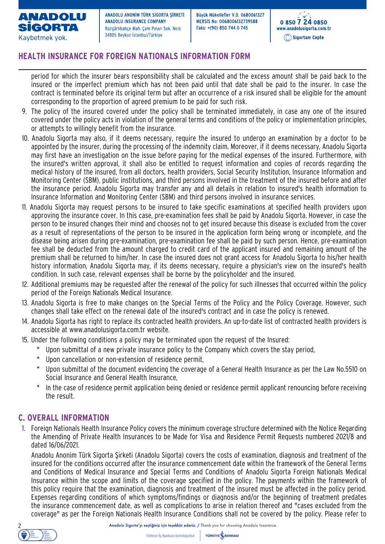

Büvük Mükellefler V.D. 0680061327 MERSIS No: 0068006132739588 Faks: +(90) 850 744 0 745



## **HEALTH INSURANCE FOR FOREIGN NATIONALS INFORMATION FORM**

period for which the insurer bears responsibility shall be calculated and the excess amount shall be paid back to the insured or the imperfect premium which has not been paid until that date shall be paid to the insurer. In case the contract is terminated before its original term but after an occurrence of a risk insured shall be eligible for the amount corresponding to the proportion of agreed premium to be paid for such risk.

- 9. The policy of the insured covered under the policy shall be terminated immediately, in case any one of the insured covered under the policy acts in violation of the general terms and conditions of the policy or implementation principles, or attempts to willingly benefit from the insurance.
- 10. Anadolu Sigorta may also, if it deems necessary, require the insured to undergo an examination by a doctor to be appointed by the insurer, during the processing of the indemnity claim. Moreover, if it deems necessary, Anadolu Sigorta may first have an investigation on the issue before paying for the medical expenses of the insured. Furthermore, with the insured's written approval, it shall also be entitled to request information and copies of records regarding the medical history of the insured, from all doctors, health providers, Social Security Institution, Insurance Information and Monitoring Center (SBM), public institutions, and third persons involved in the treatment of the insured before and after the insurance period. Anadolu Sigorta may transfer any and all details in relation to insured's health information to Insurance Information and Monitoring Center (SBM) and third persons involved in insurance services.
- 11. Anadolu Sigorta may request persons to be insured to take specific examinations at specified health providers upon approving the insurance cover. In this case, pre-examination fees shall be paid by Anadolu Sigorta. However, in case the person to be insured changes their mind and chooses not to get insured because this disease is excluded from the cover as a result of representations of the person to be insured in the application form being wrong or incomplete, and the disease being arisen during pre-examination, pre-examination fee shall be paid by such person. Hence, pre-examination fee shall be deducted from the amount charged to credit card of the applicant insured and remaining amount of the premium shall be returned to him/her. In case the insured does not grant access for Anadolu Sigorta to his/her health history information, Anadolu Sigorta may, if its deems necessary, require a physician's view on the insured's health condition. In such case, relevant expenses shall be borne by the policyholder and the insured.
- 12. Additional premiums may be requested after the renewal of the policy for such illnesses that occurred within the policy period of the Foreign Nationals Medical Insurance.
- 13. Anadolu Sigorta is free to make changes on the Special Terms of the Policy and the Policy Coverage. However, such changes shall take effect on the renewal date of the insured's contract and in case the policy is renewed.
- 14. Anadolu Sigorta has right to replace its contracted health providers. An up-to-date list of contracted health providers is accessible at www.anadolusigorta.com.tr website.
- 15. Under the following conditions a policy may be terminated upon the request of the Insured:
	- \* Upon submittal of a new private insurance policy to the Company which covers the stay period,
		- Upon cancellation or non-extension of residence permit,
		- \* Upon submittal of the document evidencing the coverage of a General Health Insurance as per the Law No.5510 on Social Insurance and General Health Insurance,
		- In the case of residence permit application being denied or residence permit applicant renouncing before receiving the result.

### **C. OVERALL INFORMATION**

1. Foreign Nationals Health Insurance Policy covers the minimum coverage structure determined with the Notice Regarding the Amending of Private Health Insurances to be Made for Visa and Residence Permit Requests numbered 2021/8 and dated 16/06/2021.

Anadolu Anonim Türk Sigorta Şirketi (Anadolu Sigorta) covers the costs of examination, diagnosis and treatment of the insured for the conditions occurred after the insurance commencement date within the framework of the General Terms and Conditions of Medical Insurance and Special Terms and Conditions of Anadolu Sigorta Foreign Nationals Medical Insurance within the scope and limits of the coverage specified in the policy. The payments within the framework of this policy require that the examination, diagnosis and treatment of the insured must be affected in the policy period. Expenses regarding conditions of which symptoms/findings or diagnosis and/or the beginning of treatment predates the insurance commencement date, as well as complications to arise in relation thereof and "cases excluded from the coverage" as per the Foreign Nationals Health Insurance Conditions shall not be covered by the policy. Please refer to

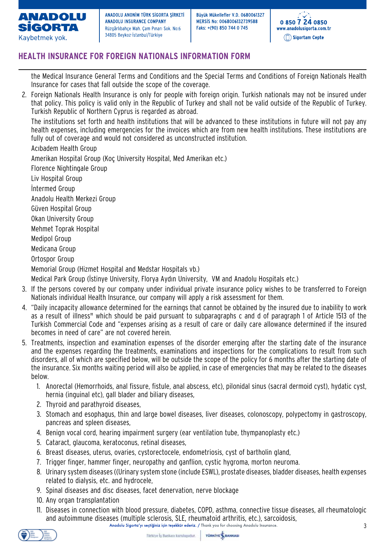

Büvük Mükellefler V.D. 0680061327 MERSIS No: 0068006132739588 Faks: +(90) 850 744 0 745



# **HEALTH INSURANCE FOR FOREIGN NATIONALS INFORMATION FORM**

the Medical Insurance General Terms and Conditions and the Special Terms and Conditions of Foreign Nationals Health Insurance for cases that fall outside the scope of the coverage.

2. Foreign Nationals Health Insurance is only for people with foreign origin. Turkish nationals may not be insured under that policy. This policy is valid only in the Republic of Turkey and shall not be valid outside of the Republic of Turkey. Turkish Republic of Northern Cyprus is regarded as abroad.

The institutions set forth and health institutions that will be advanced to these institutions in future will not pay any health expenses, including emergencies for the invoices which are from new health institutions. These institutions are fully out of coverage and would not considered as unconstructed institution.

Acıbadem Health Group

Amerikan Hospital Group (Koç University Hospital, Med Amerikan etc.) Florence Nightingale Group Liv Hospital Group İntermed Group

Anadolu Health Merkezi Group

Güven Hospital Group

Okan University Group

Mehmet Toprak Hospital

Medipol Group

Medicana Group

Ortospor Group

Memorial Group (Hizmet Hospital and Medstar Hospitals vb.)

Medical Park Group (İstinye University, Florya Aydın University, VM and Anadolu Hospitals etc.)

- 3. If the persons covered by our company under individual private insurance policy wishes to be transferred to Foreign Nationals individual Health Insurance, our company will apply a risk assessment for them.
- 4. "Daily incapacity allowance determined for the earnings that cannot be obtained by the insured due to inability to work as a result of illness" which should be paid pursuant to subparagraphs c and d of paragraph 1 of Article 1513 of the Turkish Commercial Code and "expenses arising as a result of care or daily care allowance determined if the insured becomes in need of care" are not covered herein.
- 5. Treatments, inspection and examination expenses of the disorder emerging after the starting date of the insurance and the expenses regarding the treatments, examinations and inspections for the complications to result from such disorders, all of which are specified below, will be outside the scope of the policy for 6 months after the starting date of the insurance. Six months waiting period will also be applied, in case of emergencies that may be related to the diseases below.
	- 1. Anorectal (Hemorrhoids, anal fissure, fistule, anal abscess, etc), pilonidal sinus (sacral dermoid cyst), hydatic cyst, hernia (inguinal etc), gall blader and biliary diseases,
	- 2. Thyroid and parathyroid diseases,
	- 3. Stomach and esophagus, thin and large bowel diseases, liver diseases, colonoscopy, polypectomy in gastroscopy, pancreas and spleen diseases,
	- 4. Benign vocal cord, hearing impairment surgery (ear ventilation tube, thympanoplasty etc.)
	- 5. Cataract, glaucoma, keratoconus, retinal diseases,
	- 6. Breast diseases, uterus, ovaries, cystorectocele, endometriosis, cyst of bartholin gland,
	- 7. Trigger finger, hammer finger, neuropathy and ganflion, cystic hygroma, morton neuroma.
	- 8. Urinary system diseases ((Urinary system stone (include ESWL), prostate diseases, bladder diseases, health expenses related to dialysis, etc. and hydrocele,
	- 9. Spinal diseases and disc diseases, facet denervation, nerve blockage
	- 10. Any organ transplantation
	- 11. Diseases in connection with blood pressure, diabetes, COPD, asthma, connective tissue diseases, all rheumatologic and autoimmune diseases (multiple sclerosis, SLE, rheumatoid arthritis, etc.), sarcoidosis,<br>Anadolu Sigorta'yı seçtiğiniz için teşekkür ederiz. / Thank you for choosing Anadolu Insurance.

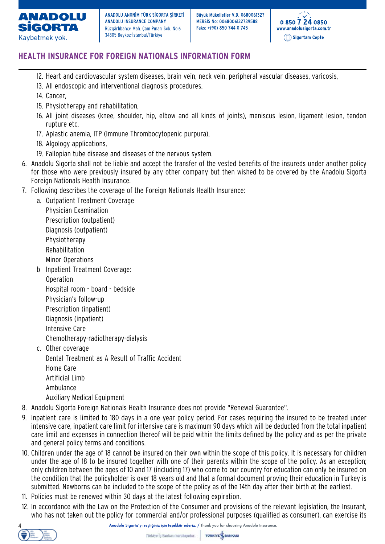

Büvük Mükellefler V.D. 0680061327 MERSIS No: 0068006132739588 Faks: +(90) 850 744 0 745



# **HEALTH INSURANCE FOR FOREIGN NATIONALS INFORMATION FORM**

- 12. Heart and cardiovascular system diseases, brain vein, neck vein, peripheral vascular diseases, varicosis,
- 13. All endoscopic and interventional diagnosis procedures.
- 14. Cancer,
- 15. Physiotherapy and rehabilitation,
- 16. All joint diseases (knee, shoulder, hip, elbow and all kinds of joints), meniscus lesion, ligament lesion, tendon rupture etc.
- 17. Aplastic anemia, ITP (Immune Thrombocytopenic purpura),
- 18. Algology applications,
- 19. Fallopian tube disease and diseases of the nervous system.
- 6. Anadolu Sigorta shall not be liable and accept the transfer of the vested benefits of the insureds under another policy for those who were previously insured by any other company but then wished to be covered by the Anadolu Sigorta Foreign Nationals Health Insurance.
- 7. Following describes the coverage of the Foreign Nationals Health Insurance:

a. Outpatient Treatment Coverage Physician Examination Prescription (outpatient) Diagnosis (outpatient) Physiotherapy Rehabilitation Minor Operations

- b Inpatient Treatment Coverage:
	- Operation

Hospital room - board - bedside Physician's follow-up Prescription (inpatient) Diagnosis (inpatient) Intensive Care

Chemotherapy-radiotherapy-dialysis

c. Other coverage

Dental Treatment as A Result of Traffic Accident

Home Care Artificial Limb

Ambulance

Auxiliary Medical Equipment

- 8. Anadolu Sigorta Foreign Nationals Health Insurance does not provide "Renewal Guarantee".
- 9. Inpatient care is limited to 180 days in a one year policy period. For cases requiring the insured to be treated under intensive care, inpatient care limit for intensive care is maximum 90 days which will be deducted from the total inpatient care limit and expenses in connection thereof will be paid within the limits defined by the policy and as per the private and general policy terms and conditions.
- 10. Children under the age of 18 cannot be insured on their own within the scope of this policy. It is necessary for children under the age of 18 to be insured together with one of their parents within the scope of the policy. As an exception; only children between the ages of 10 and 17 (including 17) who come to our country for education can only be insured on the condition that the policyholder is over 18 years old and that a formal document proving their education in Turkey is submitted. Newborns can be included to the scope of the policy as of the 14th day after their birth at the earliest.
- 11. Policies must be renewed within 30 days at the latest following expiration.
- 12. In accordance with the Law on the Protection of the Consumer and provisions of the relevant legislation, the Insurant, who has not taken out the policy for commercial and/or professional purposes (qualified as consumer), can exercise its



Anadolu Sigorta'yı seçtiğiniz için teşekkür ederiz. / Thank you for choosing Anadolu Insurance.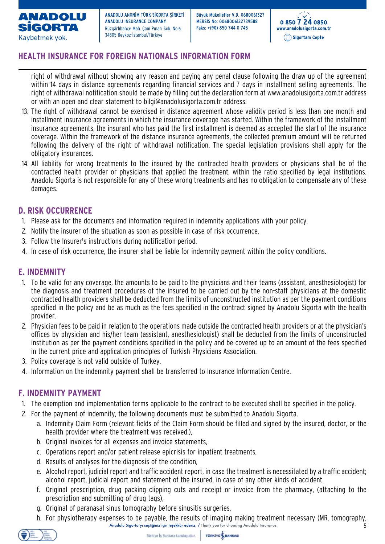

Büvük Mükellefler V.D. 0680061327 MERSIS No: 0068006132739588 Faks: +(90) 850 744 0 745



# **HEALTH INSURANCE FOR FOREIGN NATIONALS INFORMATION FORM**

right of withdrawal without showing any reason and paying any penal clause following the draw up of the agreement within 14 days in distance agreements regarding financial services and 7 days in installment selling agreements. The right of withdrawal notification should be made by filling out the declaration form at www.anadolusigorta.com.tr address or with an open and clear statement to bilgi@anadolusigorta.com.tr address.

- 13. The right of withdrawal cannot be exercised in distance agreement whose validity period is less than one month and installment insurance agreements in which the insurance coverage has started. Within the framework of the installment insurance agreements, the insurant who has paid the first installment is deemed as accepted the start of the insurance coverage. Within the framework of the distance insurance agreements, the collected premium amount will be returned following the delivery of the right of withdrawal notification. The special legislation provisions shall apply for the obligatory insurances.
- 14. All liability for wrong treatments to the insured by the contracted health providers or physicians shall be of the contracted health provider or physicians that applied the treatment, within the ratio specified by legal institutions. Anadolu Sigorta is not responsible for any of these wrong treatments and has no obligation to compensate any of these damages.

### **D. RISK OCCURRENCE**

- 1. Please ask for the documents and information required in indemnity applications with your policy.
- 2. Notify the insurer of the situation as soon as possible in case of risk occurrence.
- 3. Follow the Insurer's instructions during notification period.
- 4. In case of risk occurrence, the insurer shall be liable for indemnity payment within the policy conditions.

### **E. INDEMNITY**

- 1. To be valid for any coverage, the amounts to be paid to the physicians and their teams (assistant, anesthesiologist) for the diagnosis and treatment procedures of the insured to be carried out by the non-staff physicians at the domestic contracted health providers shall be deducted from the limits of unconstructed institution as per the payment conditions specified in the policy and be as much as the fees specified in the contract signed by Anadolu Sigorta with the health provider.
- 2. Physician fees to be paid in relation to the operations made outside the contracted health providers or at the physician's offices by physician and his/her team (assistant, anesthesiologist) shall be deducted from the limits of unconstructed institution as per the payment conditions specified in the policy and be covered up to an amount of the fees specified in the current price and application principles of Turkish Physicians Association.
- 3. Policy coverage is not valid outside of Turkey.
- 4. Information on the indemnity payment shall be transferred to Insurance Information Centre.

### **F. INDEMNITY PAYMENT**

- 1. The exemption and implementation terms applicable to the contract to be executed shall be specified in the policy.
- 2. For the payment of indemnity, the following documents must be submitted to Anadolu Sigorta.
	- a. Indemnity Claim Form (relevant fields of the Claim Form should be filled and signed by the insured, doctor, or the health provider where the treatment was received.),
	- b. Original invoices for all expenses and invoice statements,
	- c. Operations report and/or patient release epicrisis for inpatient treatments,
	- d. Results of analyses for the diagnosis of the condition,
	- e. Alcohol report, judicial report and traffic accident report, in case the treatment is necessitated by a traffic accident; alcohol report, judicial report and statement of the insured, in case of any other kinds of accident.
	- f. Original prescription, drug packing clipping cuts and receipt or invoice from the pharmacy, (attaching to the prescription and submitting of drug tags),
	- g. Original of paranasal sinus tomography before sinusitis surgeries,
	- h. For physiotherapy expenses to be payable, the results of imaging making treatment necessary (MR, tomography, Anadolu Sigorta'yı seçtiğiniz için teşekkür ederiz. / Thank you for choosing Anadolu Insurance. 5

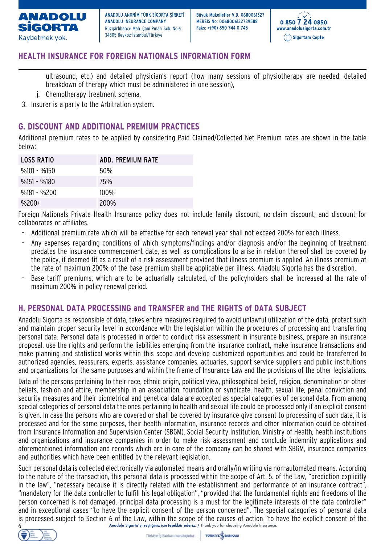

Büvük Mükellefler V.D. 0680061327 MERSIS No: 0068006132739588 Faks: +(90) 850 744 0 745



### **HEALTH INSURANCE FOR FOREIGN NATIONALS INFORMATION FORM**

ultrasound, etc.) and detailed physician's report (how many sessions of physiotherapy are needed, detailed breakdown of therapy which must be administered in one session),

- j. Chemotherapy treatment schema.
- 3. Insurer is a party to the Arbitration system.

### **G. DISCOUNT AND ADDITIONAL PREMIUM PRACTICES**

Additional premium rates to be applied by considering Paid Claimed/Collected Net Premium rates are shown in the table below:

| <b>LOSS RATIO</b> | ADD. PREMIUM RATE |
|-------------------|-------------------|
| $%101 - %150$     | 50%               |
| $%151 - %180$     | 75%               |
| $%181 - %200$     | $100\%$           |
| $%200+$           | 200%              |

Foreign Nationals Private Health Insurance policy does not include family discount, no-claim discount, and discount for collaborates or affiliates.

- Additional premium rate which will be effective for each renewal year shall not exceed 200% for each illness.
- Any expenses regarding conditions of which symptoms/findings and/or diagnosis and/or the beginning of treatment predates the insurance commencement date, as well as complications to arise in relation thereof shall be covered by the policy, if deemed fit as a result of a risk assessment provided that illness premium is applied. An illness premium at the rate of maximum 200% of the base premium shall be applicable per illness. Anadolu Sigorta has the discretion.
- Base tariff premiums, which are to be actuarially calculated, of the policyholders shall be increased at the rate of maximum 200% in policy renewal period.

#### **H. PERSONAL DATA PROCESSING and TRANSFER and THE RIGHTS of DATA SUBJECT**

Anadolu Sigorta as responsible of data, takes entire measures required to avoid unlawful utilization of the data, protect such and maintain proper security level in accordance with the legislation within the procedures of processing and transferring personal data. Personal data is processed in order to conduct risk assessment in insurance business, prepare an insurance proposal, use the rights and perform the liabilities emerging from the insurance contract, make insurance transactions and make planning and statistical works within this scope and develop customized opportunities and could be transferred to authorized agencies, reassurers, experts, assistance companies, actuaries, support service suppliers and public institutions and organizations for the same purposes and within the frame of Insurance Law and the provisions of the other legislations.

Data of the persons pertaining to their race, ethnic origin, political view, philosophical belief, religion, denomination or other beliefs, fashion and attire, membership in an association, foundation or syndicate, health, sexual life, penal conviction and security measures and their biometrical and genetical data are accepted as special categories of personal data. From among special categories of personal data the ones pertaining to health and sexual life could be processed only if an explicit consent is given. In case the persons who are covered or shall be covered by insurance give consent to processing of such data, it is processed and for the same purposes, their health information, insurance records and other information could be obtained from Insurance Information and Supervision Center (SBGM), Social Security Institution, Ministry of Health, health institutions and organizations and insurance companies in order to make risk assessment and conclude indemnity applications and aforementioned information and records which are in care of the company can be shared with SBGM, insurance companies and authorities which have been entitled by the relevant legislation.

Such personal data is collected electronically via automated means and orally/in writing via non-automated means. According to the nature of the transaction, this personal data is processed within the scope of Art. 5. of the Law, "prediction explicitly in the law", "necessary because it is directly related with the establishment and performance of an insurance contract", "mandatory for the data controller to fulfill his legal obligation", "provided that the fundamental rights and freedoms of the person concerned is not damaged, principal data processing is a must for the legitimate interests of the data controller" and in exceptional cases "to have the explicit consent of the person concerned". The special categories of personal data is processed subject to Section 6 of the Law, within the scope of the causes of action "to have the explicit consent of the<br>6 Anadolu Sigorta'yi sectiginiz için tesekkür ederiz. / Thank you for choosing Anadolu Insurance.